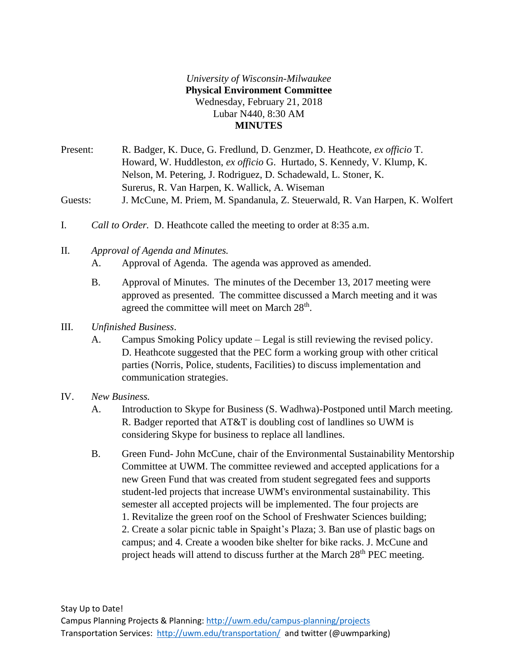## *University of Wisconsin-Milwaukee* **Physical Environment Committee** Wednesday, February 21, 2018 Lubar N440, 8:30 AM **MINUTES**

Present: R. Badger, K. Duce, G. Fredlund, D. Genzmer, D. Heathcote, *ex officio* T. Howard, W. Huddleston, *ex officio* G. Hurtado, S. Kennedy, V. Klump, K. Nelson, M. Petering, J. Rodriguez, D. Schadewald, L. Stoner, K. Surerus, R. Van Harpen, K. Wallick, A. Wiseman Guests: J. McCune, M. Priem, M. Spandanula, Z. Steuerwald, R. Van Harpen, K. Wolfert

- I. *Call to Order.* D. Heathcote called the meeting to order at 8:35 a.m.
- II. *Approval of Agenda and Minutes.*
	- A. Approval of Agenda. The agenda was approved as amended.
	- B. Approval of Minutes. The minutes of the December 13, 2017 meeting were approved as presented. The committee discussed a March meeting and it was agreed the committee will meet on March 28<sup>th</sup>.
- III. *Unfinished Business*.
	- A. Campus Smoking Policy update Legal is still reviewing the revised policy. D. Heathcote suggested that the PEC form a working group with other critical parties (Norris, Police, students, Facilities) to discuss implementation and communication strategies.
- IV. *New Business.*
	- A. Introduction to Skype for Business (S. Wadhwa)-Postponed until March meeting. R. Badger reported that AT&T is doubling cost of landlines so UWM is considering Skype for business to replace all landlines.
	- B. Green Fund- John McCune, chair of the Environmental Sustainability Mentorship Committee at UWM. The committee reviewed and accepted applications for a new Green Fund that was created from student segregated fees and supports student-led projects that increase UWM's environmental sustainability. This semester all accepted projects will be implemented. The four projects are 1. Revitalize the green roof on the School of Freshwater Sciences building; 2. Create a solar picnic table in Spaight's Plaza; 3. Ban use of plastic bags on campus; and 4. Create a wooden bike shelter for bike racks. J. McCune and project heads will attend to discuss further at the March 28<sup>th</sup> PEC meeting.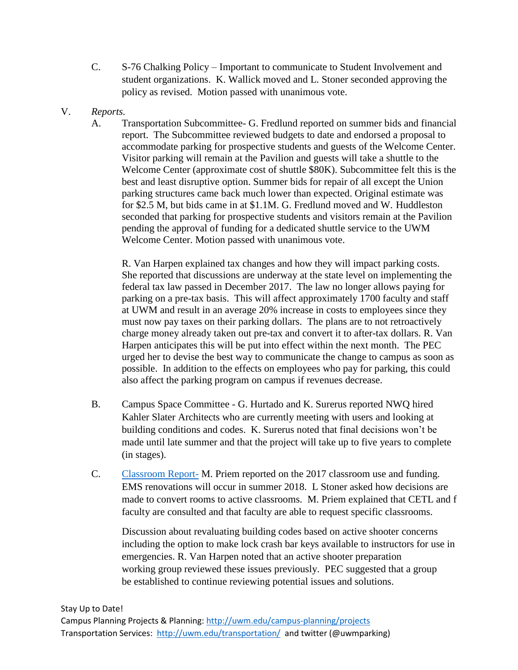- C. S-76 Chalking Policy Important to communicate to Student Involvement and student organizations. K. Wallick moved and L. Stoner seconded approving the policy as revised. Motion passed with unanimous vote.
- V. *Reports.*
	- A. Transportation Subcommittee- G. Fredlund reported on summer bids and financial report. The Subcommittee reviewed budgets to date and endorsed a proposal to accommodate parking for prospective students and guests of the Welcome Center. Visitor parking will remain at the Pavilion and guests will take a shuttle to the Welcome Center (approximate cost of shuttle \$80K). Subcommittee felt this is the best and least disruptive option. Summer bids for repair of all except the Union parking structures came back much lower than expected. Original estimate was for \$2.5 M, but bids came in at \$1.1M. G. Fredlund moved and W. Huddleston seconded that parking for prospective students and visitors remain at the Pavilion pending the approval of funding for a dedicated shuttle service to the UWM Welcome Center. Motion passed with unanimous vote.

R. Van Harpen explained tax changes and how they will impact parking costs. She reported that discussions are underway at the state level on implementing the federal tax law passed in December 2017. The law no longer allows paying for parking on a pre-tax basis. This will affect approximately 1700 faculty and staff at UWM and result in an average 20% increase in costs to employees since they must now pay taxes on their parking dollars. The plans are to not retroactively charge money already taken out pre-tax and convert it to after-tax dollars. R. Van Harpen anticipates this will be put into effect within the next month. The PEC urged her to devise the best way to communicate the change to campus as soon as possible. In addition to the effects on employees who pay for parking, this could also affect the parking program on campus if revenues decrease.

- B. Campus Space Committee G. Hurtado and K. Surerus reported NWQ hired Kahler Slater Architects who are currently meeting with users and looking at building conditions and codes. K. Surerus noted that final decisions won't be made until late summer and that the project will take up to five years to complete (in stages).
- C. [Classroom Report-](file:///C:/Users/tammyh/AppData/Local/Microsoft/Windows/INetCache/Content.Outlook/A01KXG89/Classroom%20Report.pdf) M. Priem reported on the 2017 classroom use and funding. EMS renovations will occur in summer 2018. L Stoner asked how decisions are made to convert rooms to active classrooms. M. Priem explained that CETL and f faculty are consulted and that faculty are able to request specific classrooms.

Discussion about revaluating building codes based on active shooter concerns including the option to make lock crash bar keys available to instructors for use in emergencies. R. Van Harpen noted that an active shooter preparation working group reviewed these issues previously. PEC suggested that a group be established to continue reviewing potential issues and solutions.